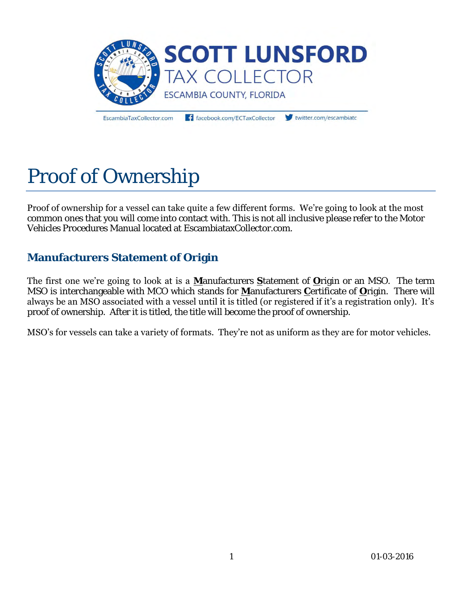

EscambiaTaxCollector.com

facebook.com/ECTaxCollector

twitter.com/escambiate

# Proof of Ownership

Proof of ownership for a vessel can take quite a few different forms. We're going to look at the most common ones that you will come into contact with. This is not all inclusive please refer to the Motor Vehicles Procedures Manual located at EscambiataxCollector.com.

# **Manufacturers Statement of Origin**

The first one we're going to look at is a **M**anufacturers **S**tatement of **O**rigin or an MSO. The term MSO is interchangeable with MCO which stands for **M**anufacturers **C**ertificate of **O**rigin. There will always be an MSO associated with a vessel until it is titled (or registered if it's a registration only). It's proof of ownership. After it is titled, the title will become the proof of ownership.

MSO's for vessels can take a variety of formats. They're not as uniform as they are for motor vehicles.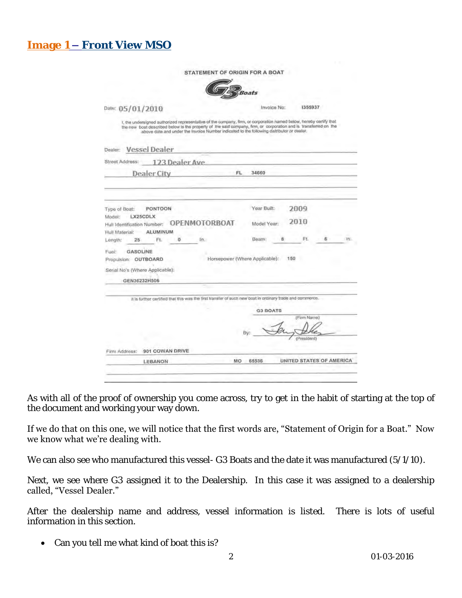| STATEMENT OF ORIGIN FOR A BOAT                                                                                                                                                                                                                                                                                                      |     |                                                                       |          |                     |   |                          |
|-------------------------------------------------------------------------------------------------------------------------------------------------------------------------------------------------------------------------------------------------------------------------------------------------------------------------------------|-----|-----------------------------------------------------------------------|----------|---------------------|---|--------------------------|
|                                                                                                                                                                                                                                                                                                                                     |     | Boats                                                                 |          |                     |   |                          |
| Date: 05/01/2010                                                                                                                                                                                                                                                                                                                    |     | Invoice No:                                                           |          | 1355937             |   |                          |
| 1. the undersigned authorized representative of the company, firm, or corporation named below, hereby certify that<br>the new boat described below is the property of the said company, firm, or corporation and is transferred on the<br>above date and under the Invoice Number indicated to the following distributor or dealer. |     |                                                                       |          |                     |   |                          |
| Dealer: Vessel Dealer                                                                                                                                                                                                                                                                                                               |     |                                                                       |          |                     |   |                          |
| 123 Dealer Ave<br>Street Address:                                                                                                                                                                                                                                                                                                   |     |                                                                       |          |                     |   |                          |
| <b>Dealer City</b>                                                                                                                                                                                                                                                                                                                  | FL. | 34660                                                                 |          |                     |   |                          |
| <b>PONTOON</b><br>Type of Boat:<br>LX25CDLX<br>Model:<br>Hull Identification Number: OPENMOTORBOAT<br>ALUMINUM<br>Hull Material:<br>Ft.<br>$\Omega$<br>In.<br>Length:<br>25<br>Fuel:<br>GASOLINE<br>Propulsion: OUTBOARD<br>Serial No's (Where Applicable):                                                                         |     | Year Built:<br>Model Year:<br>Beam:<br>Horsepower (Where Applicable): | g<br>150 | 2009<br>2010<br>Ft. | 6 | In.                      |
| GEN36232H506                                                                                                                                                                                                                                                                                                                        |     |                                                                       |          |                     |   |                          |
| It is further certified that this was the first transfer of such new boat in ordinary trade and commerce.                                                                                                                                                                                                                           |     |                                                                       |          |                     |   |                          |
|                                                                                                                                                                                                                                                                                                                                     |     | <b>G3 BOATS</b>                                                       |          | (Firm Name)         |   |                          |
|                                                                                                                                                                                                                                                                                                                                     |     |                                                                       |          | (President)         |   |                          |
| 901 COWAN DRIVE<br>Firm Address:                                                                                                                                                                                                                                                                                                    |     |                                                                       |          |                     |   |                          |
|                                                                                                                                                                                                                                                                                                                                     |     |                                                                       |          |                     |   | UNITED STATES OF AMERICA |

As with all of the proof of ownership you come across, try to get in the habit of starting at the top of the document and working your way down.

#### If we do that on this one, we will notice that the first words are, "Statement of Origin for a Boat." Now we know what we're dealing with.

We can also see who manufactured this vessel- G3 Boats and the date it was manufactured (5/1/10).

Next, we see where G3 assigned it to the Dealership. In this case it was assigned to a dealership called, "Vessel Dealer."

After the dealership name and address, vessel information is listed. There is lots of useful information in this section.

• Can you tell me what kind of boat this is?

**Image 1 – Front View MSO**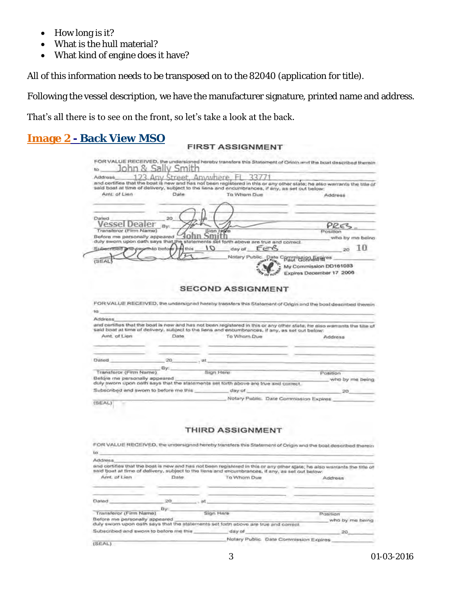- How long is it?
- What is the hull material?
- What kind of engine does it have?

All of this information needs to be transposed on to the 82040 (application for title).

Following the vessel description, we have the manufacturer signature, printed name and address.

#### That's all there is to see on the front, so let's take a look at the back.

| $\mathcal{R}_{I}$<br>nhn<br>to         | 15m               |                                                                                                                                          | FOR VALUE RECEIVED, the undersianed hereby transfers this Statement of Orioto and the boat described therein |
|----------------------------------------|-------------------|------------------------------------------------------------------------------------------------------------------------------------------|--------------------------------------------------------------------------------------------------------------|
| Address                                | Street, Anywhere, | 337                                                                                                                                      |                                                                                                              |
|                                        |                   | and certifies that the boat is new and has not been registered in this or any other state; he also warrants the title of                 |                                                                                                              |
| Amt. of Lien                           | Date              | said boat at time of delivery, subject to the liens and encumbrances, if any, as set out below:<br>To Whom Due                           |                                                                                                              |
|                                        |                   |                                                                                                                                          | Address                                                                                                      |
|                                        |                   |                                                                                                                                          |                                                                                                              |
|                                        |                   |                                                                                                                                          |                                                                                                              |
| Dated<br>Vessel Dealer                 | 20                |                                                                                                                                          | PRES                                                                                                         |
| Transferor (Firm Name)                 | Bv:               | Sion Hore                                                                                                                                | Position                                                                                                     |
| Before me personally appeared          |                   |                                                                                                                                          | who by me being                                                                                              |
|                                        | <b>de this</b>    | duly sworn upon oath says that the statements set forth above are true and correct<br>10<br>$E = R$<br>day of                            | 10                                                                                                           |
| Subecribed and swarth to before        |                   |                                                                                                                                          |                                                                                                              |
| (SEAL                                  |                   | Notary Public Date Commission Eithires                                                                                                   | My Commission DD161083<br>Expires Depember 17 2006                                                           |
| ta                                     |                   | <b>SECOND ASSIGNMENT</b><br>FOR VALUE RECEIVED, the undersigned hereby transfers this Statement of Origin and the boat described therein |                                                                                                              |
| Address                                |                   |                                                                                                                                          |                                                                                                              |
|                                        |                   | and certifies that the boat is new and has not been registered in this or any other state, he also warrants the title of                 |                                                                                                              |
|                                        |                   | said boat at time of delivery, subject to the liens and encumbrances, if any, as set out below:                                          |                                                                                                              |
| Arnt. of Lien                          | Date              | To Wham Due                                                                                                                              | Address                                                                                                      |
|                                        |                   |                                                                                                                                          |                                                                                                              |
|                                        |                   |                                                                                                                                          |                                                                                                              |
| Dated                                  | 20                | ot                                                                                                                                       |                                                                                                              |
| Transferor (Firm Name)                 | Ey:               | Sign Here                                                                                                                                | Pasition                                                                                                     |
| Before me personally appeared          |                   |                                                                                                                                          | who by me being                                                                                              |
| Subscribed and sworn to before me this |                   | duly sworn upon oath says that the statements set forth above are true and correct.<br>day of                                            |                                                                                                              |
|                                        |                   | Notary Public. Date Commission Expires                                                                                                   | 20                                                                                                           |

#### **THIRD ASSIGNMENT**

|                                        |      | FOR VALUE RECEIVED, the undersigned hereby transfers this Statement of Origin and the boat described therein                                                                                                                 |                         |
|----------------------------------------|------|------------------------------------------------------------------------------------------------------------------------------------------------------------------------------------------------------------------------------|-------------------------|
| les                                    |      |                                                                                                                                                                                                                              |                         |
| Address                                |      |                                                                                                                                                                                                                              |                         |
|                                        |      | and certifies that the boat is new and has not been registered in this or any other state; he also warrants the title of<br>said boat at firne of delivery, subject to the liens and encumbrances, if any, as set out below: |                         |
| Amt. of Lien                           | Date | To Whom Due                                                                                                                                                                                                                  | Address                 |
| Dated                                  | DO.  | вt                                                                                                                                                                                                                           |                         |
|                                        | By:  |                                                                                                                                                                                                                              |                         |
| Transferor (Firm Name)                 |      | Sign Hare                                                                                                                                                                                                                    | Position                |
| Before me personally appeared          |      | duly swom upon oath says that the statements set forth above are true and correct.                                                                                                                                           | who by me being         |
| Subscribed and sworn to before me this |      | day of                                                                                                                                                                                                                       | 20.                     |
|                                        |      | Notary Public.                                                                                                                                                                                                               | Date Commission Expires |
| (SEAL)                                 |      |                                                                                                                                                                                                                              |                         |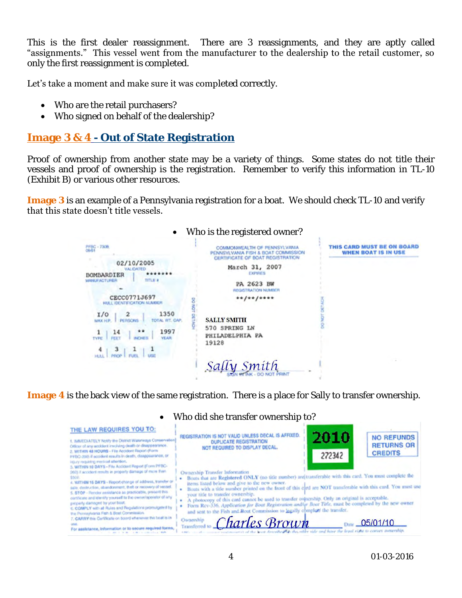This is the first dealer reassignment. There are 3 reassignments, and they are aptly called "assignments." This vessel went from the manufacturer to the dealership to the retail customer, so only the first reassignment is completed.

Let's take a moment and make sure it was completed correctly.

- Who are the retail purchasers?
- Who signed on behalf of the dealership?

## **Image 3 & 4 - Out of State Registration**

Proof of ownership from another state may be a variety of things. Some states do not title their vessels and proof of ownership is the registration. Remember to verify this information in TL-10 (Exhibit B) or various other resources.

**Image 3** is an example of a Pennsylvania registration for a boat. We should check TL-10 and verify that this state doesn't title vessels.

| $\bullet$                                                                                                                                                                                                                                                                                                | Who is the registered owner?                                                                                                                                                                                                                                                                        |                                                          |
|----------------------------------------------------------------------------------------------------------------------------------------------------------------------------------------------------------------------------------------------------------------------------------------------------------|-----------------------------------------------------------------------------------------------------------------------------------------------------------------------------------------------------------------------------------------------------------------------------------------------------|----------------------------------------------------------|
| PFBC - 730B<br>02/10/2005<br><b>VALIDATED</b><br>****<br>BOMBARDIER<br>TITLE #<br><b>MANUFACTURER</b><br>CECC0771J697<br>HULL IDENTE ICATION NUMBER<br>1350<br>I/O<br>$\mathbf{z}$<br>TOTAL WT. CAP.<br><b>PERSONS</b><br><b>MAX H.P.</b><br>1997<br><br>14<br><b>YEAR</b><br>INCHE!<br><b>TYPE</b><br>3 | COMMONWEALTH OF PENNSYLVANIA<br>PENNSYLVANIA FISH & BOAT COMMISSION<br>CERTIFICATE OF BOAT REGISTRATION<br>March 31, 2007<br><b>EXPIRITS</b><br>PA 2623 BW<br>REGISTRATION NUMBER<br>$**/**/****$<br><b>SALLY SMITH</b><br>570 SPRING LN<br>PHILADELPHIA PA<br>19128<br>Sally Smith<br>DO NOT PRINT | THIS CARD MUST BE ON BOARD<br><b>WHEN BOAT IS IN USE</b> |
|                                                                                                                                                                                                                                                                                                          |                                                                                                                                                                                                                                                                                                     |                                                          |

**Image 4** is the back view of the same registration. There is a place for Sally to transfer ownership.

|                                                                                                                                                                                                                                                                                                                                                                                                                                                                                                                                                                                                                                                                                                               | <u>MILIO QIU SITE LI GITSI EL OWITEL SITID LO !</u>                                                                                                                                                                                                                                                                                                                                                                                                                                                                                                                                                                                                                           |  |
|---------------------------------------------------------------------------------------------------------------------------------------------------------------------------------------------------------------------------------------------------------------------------------------------------------------------------------------------------------------------------------------------------------------------------------------------------------------------------------------------------------------------------------------------------------------------------------------------------------------------------------------------------------------------------------------------------------------|-------------------------------------------------------------------------------------------------------------------------------------------------------------------------------------------------------------------------------------------------------------------------------------------------------------------------------------------------------------------------------------------------------------------------------------------------------------------------------------------------------------------------------------------------------------------------------------------------------------------------------------------------------------------------------|--|
| THE LAW REQUIRES YOU TO:<br>1. WANEDLATELY Notify the District Waterways Conservation<br>Officer of any accident involving death or disappearance.<br>2. WITHIN 48 HOURS - File Accident Report (Form)<br>PFBC-200) if accident results in death, disappoarance, or<br>irguy regaing medias alterator.                                                                                                                                                                                                                                                                                                                                                                                                        | 2010<br>REGISTRATION IS NOT VALID UNLESS DECAL IS AFFIXED.<br><b>NO REFUNDS</b><br><b>DUPLICATE REGISTRATION</b><br><b>RETURNS OR</b><br>NOT REQUIRED TO DISPLAY DECAL.<br><b>CREDITS</b><br>272342                                                                                                                                                                                                                                                                                                                                                                                                                                                                           |  |
| 3. WITHIN 10 DAYS - File Accident Report (Form PFBC-<br>202) if accident results in property damage of more than<br>\$500.<br>4. WITHIN 15 DAYS - Report change of address, transfer or<br>sale, destruction, abandonment, theft or recovery of vessel.<br>5. STOP - Render annisfance as practiceble, present this<br>continue and identify yourself to the cwneriogenistor of any<br>properly damaged by your boot.<br>C. COMPLY with at Rules and Regulations promukasted by<br>the Pennsylvania Fish & Boet Commission.<br>7. CARRY this Continues on board whenever the beat is in-<br>For assistance, information or to secure required forms.<br>the first state of the party of the contractions with | Ownership Transfer Information<br>Boats that are Registered ONLY (no title number) are transferable with this card. You must complete the<br>items listed below and give to the new owner.<br>Boats with a title number printed on the frent of this card are NOT transferable with this card. You must use<br>your title to transfer ownership.<br>A photocopy of this card cannot be used to transfer outoership. Only an original is acceptable.<br>Form Rev-336, Application for Boat Registration and/or Boat Title, must be completed by the new owner.<br>and sent to the Fish and Roat Commission to legally opmplent the transfer.<br>Charles Brown<br>Date 05/01/10 |  |

## Who did she transfer ownership to?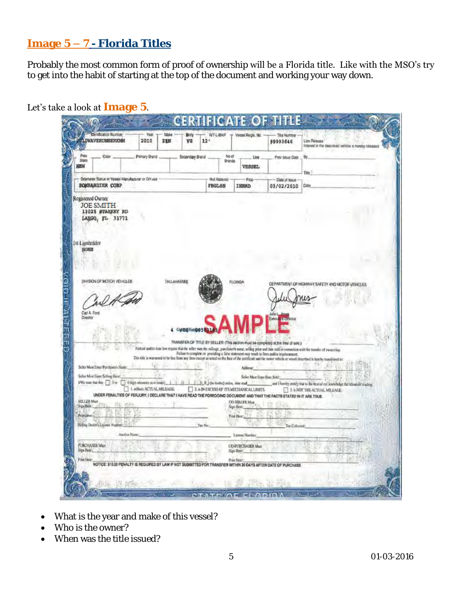# **Image 5 – 7 - Florida Titles**

Probably the most common form of proof of ownership will be a Florida title. Like with the MSO's try to get into the habit of starting at the top of the document and working your way down.

|                                                                                                                                                                            |                             | VS                     | 12'                              |                                                           | 99993646                                                                                                                                                                         | Lion Release<br>Interest in the described vehicle is horsby released                                                                                                                                                                                                                                                                  |
|----------------------------------------------------------------------------------------------------------------------------------------------------------------------------|-----------------------------|------------------------|----------------------------------|-----------------------------------------------------------|----------------------------------------------------------------------------------------------------------------------------------------------------------------------------------|---------------------------------------------------------------------------------------------------------------------------------------------------------------------------------------------------------------------------------------------------------------------------------------------------------------------------------------|
| Prev<br>Color<br>State<br>NEW                                                                                                                                              | Primary Brand               | Secondary Brand .      | No of<br>Brands                  | Use<br><b>VESSEL</b>                                      | Prev issue Date                                                                                                                                                                  | By<br>Title                                                                                                                                                                                                                                                                                                                           |
| Odometer Status or Vessel Manufacturer or OH use<br><b>BOMBARDIER CORP</b>                                                                                                 |                             |                        | <b>Hull Material</b><br>FBGLSS   | Page<br>INBRD                                             | Date of Issue<br>03/02/2010                                                                                                                                                      | Date                                                                                                                                                                                                                                                                                                                                  |
| Registered Owner<br><b>JOE SMITH</b><br>13025 STARKEY RD<br>LABGQ, FL 33771<br>st Lienholder<br>NONB                                                                       |                             |                        |                                  |                                                           |                                                                                                                                                                                  |                                                                                                                                                                                                                                                                                                                                       |
| DIVISION OF MOTOR VEHICLES                                                                                                                                                 |                             | TALLAHASSEE            |                                  | <b>FLORIDA</b>                                            |                                                                                                                                                                                  |                                                                                                                                                                                                                                                                                                                                       |
| Carl A. Ford                                                                                                                                                               |                             |                        |                                  |                                                           |                                                                                                                                                                                  | DEPARTMENT OF HIGHWAY SAFETY AND MOTOR VEHICLES                                                                                                                                                                                                                                                                                       |
| Disector                                                                                                                                                                   |                             | 4 Cultiplination 582.1 |                                  |                                                           |                                                                                                                                                                                  |                                                                                                                                                                                                                                                                                                                                       |
|                                                                                                                                                                            |                             |                        |                                  |                                                           | TRANSFER OF TITLE BY SELLER (This section must be completed at the time of sale.)<br>Failure to complete or providing a false statement may result in frees and/or imprisonment. | Forcal and/or state law require that the seller state the mileage, parchater's name, selling prior and date sold in connection with the transfer of eworcehip.<br>This title is warraned to be free from any liens except as noted on the face of the certificate and the motor vehicle or vessel described is hereby transferred to: |
| Soller Mark Enter Purchaser's Nante:<br>Seller Mist Tister Selling Price                                                                                                   |                             |                        |                                  | Address<br>Seller Mast Ester Date Sold:                   |                                                                                                                                                                                  |                                                                                                                                                                                                                                                                                                                                       |
| We sure that this U.S.or Gogt objects now model<br>UNDER PENALTIES OF PERJURY, I DECLARE THAT I HAVE READ THE FOREGOING DOCUMENT AND THAT THE FACTS STATED IN IT ARE TRUE. | I. reflects ACTUAL MILEAGE. |                        | ILX (to testio) sules, date read | 2. a IN EXCESS OF ITS MECHANICAL LIMITS.                  |                                                                                                                                                                                  | and I hereby cently that to the best of my knowledge the odonical reading<br>3. Is NOT THE ACTUAL MILEAGE                                                                                                                                                                                                                             |
| SELLER Must<br>SimBox<br>Point Henry                                                                                                                                       |                             |                        |                                  | <b>CO-SELLER Man</b><br>Sign Here:<br>Print Herry         |                                                                                                                                                                                  |                                                                                                                                                                                                                                                                                                                                       |
| Selling Desirr's License Number:                                                                                                                                           |                             | Ting No.               |                                  |                                                           | Tix Collected                                                                                                                                                                    |                                                                                                                                                                                                                                                                                                                                       |
| Anction Name                                                                                                                                                               |                             |                        |                                  | License Number:<br><b>CO-PURCHASER Must</b><br>Sign Hore: |                                                                                                                                                                                  |                                                                                                                                                                                                                                                                                                                                       |
| <b>PURCHASER Mart</b><br>Sign Hotel                                                                                                                                        |                             |                        |                                  |                                                           |                                                                                                                                                                                  |                                                                                                                                                                                                                                                                                                                                       |

Let's take a look at **Image 5**.

- What is the year and make of this vessel?
- Who is the owner?
- When was the title issued?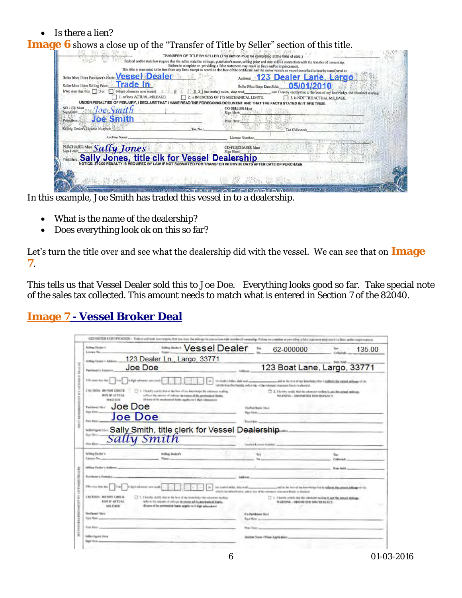$\bullet$  Is there a lien?

## **Image 6** shows a close up of the "Transfer of Title by Seller" section of this title.

| TRANSFER OF TITLE BY SELLER (This section must be completed at the time of sale.)                                                                                                                                                                                     |
|-----------------------------------------------------------------------------------------------------------------------------------------------------------------------------------------------------------------------------------------------------------------------|
| Federal and/or state law require that the seller state the mileage, purchaser's name, selling price and date sold in connection with the transfer of ownership.<br>Failure to complete or providing a false statement may result in fines and/or imprisonment.        |
| This title is warranted to be free from any liens except as noted on the face of the certificate and the motor vehicle or vessel described is hereby transferred to:<br><b>Vessel Dealer</b><br>Address: 123 Dealer Lane, Largo<br>Seller Must Emer Purchaser's Name: |
| Trade In<br>Seller Must Enter Selling Price:                                                                                                                                                                                                                          |
| 05/01/2010<br>Seller Must Enter Date Sold:<br>I/We state that this 1:5 or<br>6 digit odometer now reads<br>[I_X_] (no tenths) miles, date read_<br>and I hereby certify that to the best of my knowledge the odonicler reading:                                       |
| . reflects ACTUAL MILEAGE.<br>2. is IN EXCESS OF ITS MECHANICAL LIMITS.<br>is NOT THE ACTUAL MILEAGE.                                                                                                                                                                 |
| IT ARE TRUE<br><b>SELLER Must</b>                                                                                                                                                                                                                                     |
| <b>CO-SELLER Must</b><br>loe Smith<br>Sign Here<br>Sign Here:                                                                                                                                                                                                         |
| <b>Joe Smith</b><br>Print Here:<br>Print Here:                                                                                                                                                                                                                        |
| Selling Dealer's License Number:<br>Tax No<br>Tax Collected:                                                                                                                                                                                                          |
| Auction Name<br>License Number:                                                                                                                                                                                                                                       |
| 27. % 进石灰地 28. 41<br>PURCHASER MAN Sally Jones<br><b>CO-PURCHASER Must</b><br>Sign Here:                                                                                                                                                                              |
| Print Here: Sally Jones, title clk for Vessel Dealership                                                                                                                                                                                                              |
| IN 30 DAYS AFTER DATE OF PURCHASE                                                                                                                                                                                                                                     |
|                                                                                                                                                                                                                                                                       |
|                                                                                                                                                                                                                                                                       |
| <b><i><u>REGISTER</u></i></b>                                                                                                                                                                                                                                         |

In this example, Joe Smith has traded this vessel in to a dealership.

- What is the name of the dealership?
- Does everything look ok on this so far?

Let's turn the title over and see what the dealership did with the vessel. We can see that on **Image 7**.

This tells us that Vessel Dealer sold this to Joe Doe. Everything looks good so far. Take special note of the sales tax collected. This amount needs to match what is entered in Section 7 of the 82040.

# **Image 7 - Vessel Broker Deal**

| Brilling Thraler's<br>Licence Rice                                                                                                                                                          | <b>WARRISH Dealer</b>                                                                                                                                                                                                                                                                    | Tax.                                                                                                                                                                                                                                                        | 62-000000                                                                                                         | 135.00                      |
|---------------------------------------------------------------------------------------------------------------------------------------------------------------------------------------------|------------------------------------------------------------------------------------------------------------------------------------------------------------------------------------------------------------------------------------------------------------------------------------------|-------------------------------------------------------------------------------------------------------------------------------------------------------------------------------------------------------------------------------------------------------------|-------------------------------------------------------------------------------------------------------------------|-----------------------------|
| <b>Grilliag Eleabs' L. Adrian</b>                                                                                                                                                           | 123 Dealer Ln., Largo, 33771                                                                                                                                                                                                                                                             |                                                                                                                                                                                                                                                             |                                                                                                                   |                             |
| Parentment is Assessed                                                                                                                                                                      | Joe Doe                                                                                                                                                                                                                                                                                  |                                                                                                                                                                                                                                                             |                                                                                                                   | 123 Boat Lane, Largo, 33771 |
| <b>PRI sun no by [     hal</b><br><b><i>UNITED</i></b> : <b>20 NOT CHITE</b><br><b><i>BOX IF SCYCAL</i></b><br><b>MILEAGE</b><br>Joe Doe<br>Patthony Mart<br>Sign Free:<br><b>Fred Band</b> | A digit milimener any nucl-<br>[7] C. Yhotelis carelis that or the hot of the dispersively the editories reading<br>collision that seemed of including the statement of this people state function.<br>(Finance of the membersion) Thristly equippes by 7 shiple informations<br>Joe Doe | inviscibilities, this real components and or the text of my least significant in primari subset of the<br>the distributed burght, and/or relay of the releasance statement first is a distributed<br><b>Ca-Punkhame Mark</b><br>Size (Arm)<br>Ritual Edgaro | [7] X. I haveby youthy that the submester to shing in and the actual militage.<br>WARNING - OBOMETER BINCREPANEY. |                             |
| <b>New Mercy</b>                                                                                                                                                                            | Sally Smith, title clerk for Vessel Dealership<br>Sally Smith                                                                                                                                                                                                                            |                                                                                                                                                                                                                                                             |                                                                                                                   |                             |
| Nilling Digitor's<br>Lione Se.,                                                                                                                                                             | <b>Selling Booker's</b><br>Vasse.                                                                                                                                                                                                                                                        | tia                                                                                                                                                                                                                                                         |                                                                                                                   |                             |
| Frint Blow                                                                                                                                                                                  |                                                                                                                                                                                                                                                                                          |                                                                                                                                                                                                                                                             |                                                                                                                   | <b>Ender Hold</b>           |
| Pearlsson's Sumake.                                                                                                                                                                         |                                                                                                                                                                                                                                                                                          |                                                                                                                                                                                                                                                             |                                                                                                                   |                             |
| Filter stays West Alan<br><b>CALTION: DO NOT CIBEES</b><br><b>BUS IF ACTUAL</b><br>MIL EACK<br>Penthanger Many<br><b>Tize Heat</b><br>From Electric                                         | 4. Kell referred arts lash<br>[211. Thereby castly may are the farm of my konveniency the enforcement modified.<br>lefters the support of politics in a beats of the morbanical limits.<br>(Euro of in serioused lest) applies to I digit advocates)                                     | ins instituted to dispersion and compress the set of the first of the forest print in reflects the actual adiage of the<br>the's devaluations, adopt us of the dimensionistically in Ourish<br><b>Co-Newkiper Max</b><br><b>Has How and</b>                 | 2. I haven creen this the inferior restrict to her hereal militian.<br>HARADME - OBJOARD THIS DISC BE FAALTY.     |                             |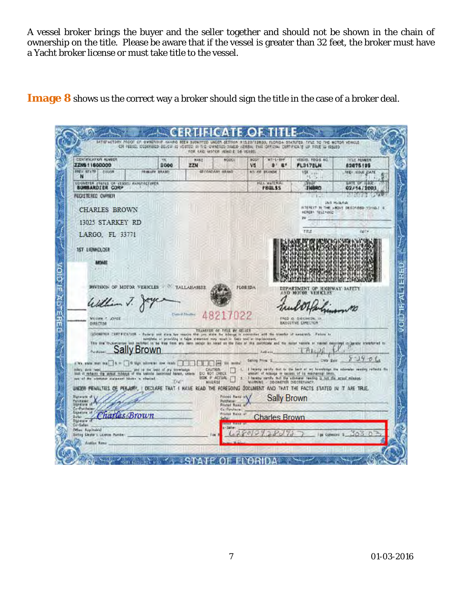A vessel broker brings the buyer and the seller together and should not be shown in the chain of ownership on the title. Please be aware that if the vessel is greater than 32 feet, the broker must have a Yacht broker license or must take title to the vessel.

**Image 8** shows us the correct way a broker should sign the title in the case of a broker deal.

| <b>FREV STATE COLOR</b>                                                                                                                                           | 2000                                                                               | <b>NAKP</b><br>ZZN                             | NODEL                                                  | <b>BODY</b><br>V5    | WT-E-RHF<br>$B$ $B$            | <b>VESUEL FEGS SC.</b><br>PL317ELN                                                                                           | TITLE NUMBER<br>82675135                                                         |
|-------------------------------------------------------------------------------------------------------------------------------------------------------------------|------------------------------------------------------------------------------------|------------------------------------------------|--------------------------------------------------------|----------------------|--------------------------------|------------------------------------------------------------------------------------------------------------------------------|----------------------------------------------------------------------------------|
| м                                                                                                                                                                 | FRIMADY BRAND                                                                      |                                                | GECONDARY IRRAND                                       | <b>NO. CE EEANDE</b> |                                | <b>HER</b> LIFE<br>$-25$                                                                                                     | <b>NIEY IEDAE DATE</b>                                                           |
| COUNCILA STATES OR (ESSEL MANUFACTURES<br><b>BUNBARDIER CORP</b>                                                                                                  |                                                                                    |                                                |                                                        |                      | HULL MATERIAL<br><b>F8GLSS</b> | 4570<br><b>THRRD</b>                                                                                                         | GATE OF ILLUST<br>02/14/1001                                                     |
| <b>FEGISTERED OWNER</b>                                                                                                                                           |                                                                                    |                                                |                                                        |                      |                                | <b>Contract</b>                                                                                                              | <b>Wildfield State</b><br><b>USE Relates</b>                                     |
| <b>CHARLES BROWN</b>                                                                                                                                              |                                                                                    |                                                |                                                        |                      |                                | HEREBY TELENDED                                                                                                              | INTEREST IN THE ABOVE DESCRIPED YOTIO.C. IS                                      |
| 13025 STARKEY RD                                                                                                                                                  |                                                                                    |                                                |                                                        |                      |                                | IV.                                                                                                                          |                                                                                  |
| LARGO, FL 33771                                                                                                                                                   |                                                                                    |                                                |                                                        |                      |                                | TITLE                                                                                                                        | OAT=                                                                             |
|                                                                                                                                                                   |                                                                                    |                                                |                                                        |                      |                                |                                                                                                                              |                                                                                  |
| <b>157 LIENHOLDER</b>                                                                                                                                             |                                                                                    |                                                |                                                        |                      |                                |                                                                                                                              |                                                                                  |
| MONE                                                                                                                                                              |                                                                                    |                                                |                                                        |                      |                                |                                                                                                                              |                                                                                  |
|                                                                                                                                                                   |                                                                                    |                                                |                                                        |                      |                                |                                                                                                                              |                                                                                  |
| <b>DIVISION OF MOTOR VEHICLES TALLABASSEE</b>                                                                                                                     |                                                                                    |                                                |                                                        | <b>FLORIDA</b>       |                                | DEPARTMENT OF HIGHWAY SAFETY<br><b>AND MOTOR VEHICLES</b>                                                                    |                                                                                  |
| William V.                                                                                                                                                        |                                                                                    |                                                |                                                        |                      |                                |                                                                                                                              |                                                                                  |
|                                                                                                                                                                   | Comed Medies                                                                       |                                                | 7022                                                   |                      |                                |                                                                                                                              |                                                                                  |
| <b>WELLAW P. JOYCE</b><br>OIRECTOR                                                                                                                                |                                                                                    |                                                |                                                        |                      |                                | FRED O DICEMEDIA IN<br>EXECUTIVE EMPECTED                                                                                    |                                                                                  |
| GENERARY CAREFICATION - Facerly see alone has require that you when the telesge is someones with the transfer of severesty. Failure to                            |                                                                                    |                                                | TRANSFER OF TITLE BY SELLER                            |                      |                                |                                                                                                                              |                                                                                  |
| The that throughouse and painting is he was from any teen ascept to hour on the face of the methods and the motor vanish or vasted as compared information of the | semilate or previding a false statement way would be finite teal or impliancement. |                                                |                                                        |                      |                                |                                                                                                                              |                                                                                  |
| <b>Sally Brown</b><br>Airmann,                                                                                                                                    |                                                                                    |                                                |                                                        | Salvey Fries 3.      | Addis Lis                      | Data Bele                                                                                                                    | $3 - 190$                                                                        |
| $1/w$ , suit we hall $w = \frac{1}{2}$ . O the shows now resh $\frac{1}{2}$<br>miles, data head.                                                                  | and in the trent of my timwinder.                                                  | CALITION                                       | 15                                                     |                      |                                |                                                                                                                              | I happy saidy that to the best of my hoovings the colorador results reflects the |
| lest it ratains the some midrid of the vations becomed facers, criers<br>not at the primate statement bluess is charted.                                          |                                                                                    | EO NOT CRECK<br><b>BOX # ACTUAL</b><br>MAILASE |                                                        |                      | WARNING DOONETER DISCRETANCY.  | annult of milesca in excess of its mathematical limits.<br>I haven cently that the educator resons is not the squal mission. |                                                                                  |
|                                                                                                                                                                   |                                                                                    |                                                |                                                        |                      |                                |                                                                                                                              |                                                                                  |
| UNDER PENALTIES DE PELARY, I DECLARE TRAT I HAVE READ THE FOREGOING DOCUMENT AND THAT THE FACTS STATED IN IT ARE TRUE.                                            |                                                                                    |                                                | Frichte Rank of<br><b>Puichasan</b><br>Fristad Roms af |                      | <b>Sally Brown</b>             |                                                                                                                              |                                                                                  |
| <b>Paratum of</b>                                                                                                                                                 |                                                                                    |                                                |                                                        |                      |                                |                                                                                                                              |                                                                                  |
| Parshavec<br>Confluitheon.<br><b>Gunerum of</b><br>Charles Brown<br>تناتبا                                                                                        |                                                                                    |                                                | Ca Parahasan<br>Produk Bank at<br>Seller:              |                      | <b>Charles Brown</b>           |                                                                                                                              |                                                                                  |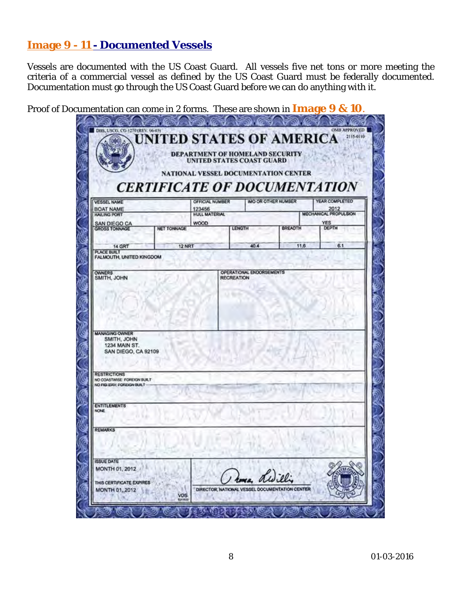# **Image 9 - 11 - Documented Vessels**

Vessels are documented with the US Coast Guard. All vessels five net tons or more meeting the criteria of a commercial vessel as defined by the US Coast Guard must be federally documented. Documentation must go through the US Coast Guard before we can do anything with it.

Proof of Documentation can come in 2 forms. These are shown in **Image 9 & 10**.

| <b>VESSEL NAME</b>                                                                                     | <b>CERTIFICATE OF DOCUMENTATION</b> | OFFICIAL NUMBER   | <b>IMO OR OTHER NUMBER</b> |                                                | YEAR COMPLETED        |
|--------------------------------------------------------------------------------------------------------|-------------------------------------|-------------------|----------------------------|------------------------------------------------|-----------------------|
| <b>BOAT NAME</b>                                                                                       | 123456                              |                   |                            |                                                | 2012                  |
| HAILING PORT                                                                                           | HULL MATERIAL                       |                   |                            |                                                | MECHANICAL PROPULSION |
| SAN DIEGO CA<br><b>GROSS TONNAGE</b>                                                                   | WOOD<br><b>NET TONNAGE</b>          |                   | LENGTH                     | <b>BREADTH</b>                                 | <b>YES</b><br>DEPTH   |
|                                                                                                        |                                     |                   |                            |                                                |                       |
| 14 GRT                                                                                                 | 12 NRT                              |                   | 40.4                       | 11.6                                           | 6.1                   |
| PLACE BUILT<br>FALMOUTH, UNITED KINGDOM                                                                |                                     |                   |                            |                                                |                       |
|                                                                                                        |                                     |                   |                            |                                                |                       |
| <b>OWNERS</b><br>SMITH, JOHN                                                                           |                                     | <b>RECREATION</b> | OPERATIONAL ENDORSEMENTS   |                                                |                       |
|                                                                                                        |                                     |                   |                            |                                                |                       |
|                                                                                                        |                                     |                   |                            |                                                |                       |
|                                                                                                        |                                     |                   |                            |                                                |                       |
|                                                                                                        |                                     |                   |                            |                                                |                       |
|                                                                                                        |                                     |                   |                            |                                                |                       |
|                                                                                                        |                                     |                   |                            |                                                |                       |
|                                                                                                        |                                     |                   |                            |                                                |                       |
|                                                                                                        |                                     |                   |                            |                                                |                       |
|                                                                                                        |                                     |                   |                            |                                                |                       |
| SMITH, JOHN                                                                                            |                                     |                   |                            |                                                |                       |
| 1234 MAIN ST.                                                                                          |                                     |                   |                            |                                                |                       |
| SAN DIEGO, CA 92109                                                                                    |                                     |                   |                            |                                                |                       |
|                                                                                                        |                                     |                   |                            |                                                |                       |
|                                                                                                        |                                     |                   |                            |                                                |                       |
| <b>MANAGING OWNER</b><br><b>RESTRICTIONS</b><br>NO COASTWISE FOREIGN BUILT<br>NO FIGIERY FOREIGN BUILT |                                     |                   |                            |                                                |                       |
|                                                                                                        |                                     |                   |                            |                                                |                       |
|                                                                                                        |                                     |                   |                            |                                                |                       |
|                                                                                                        |                                     |                   |                            |                                                |                       |
|                                                                                                        |                                     |                   |                            |                                                |                       |
| <b>ENTITLEMENTS</b><br><b>NONE</b>                                                                     |                                     |                   |                            |                                                |                       |
|                                                                                                        |                                     |                   |                            |                                                |                       |
|                                                                                                        |                                     |                   |                            |                                                |                       |
|                                                                                                        |                                     |                   |                            |                                                |                       |
|                                                                                                        |                                     |                   |                            |                                                |                       |
| <b>REMARKS</b><br><b>ISSUE DATE</b>                                                                    |                                     |                   |                            |                                                |                       |
| MONTH 01, 2012                                                                                         |                                     |                   |                            |                                                |                       |
|                                                                                                        |                                     |                   |                            |                                                |                       |
| THIS CERTIFICATE EXPIRES<br><b>MONTH 01, 2012</b>                                                      |                                     |                   |                            | DIRECTOR, NATIONAL VESSEL DOCUMENTATION CENTER |                       |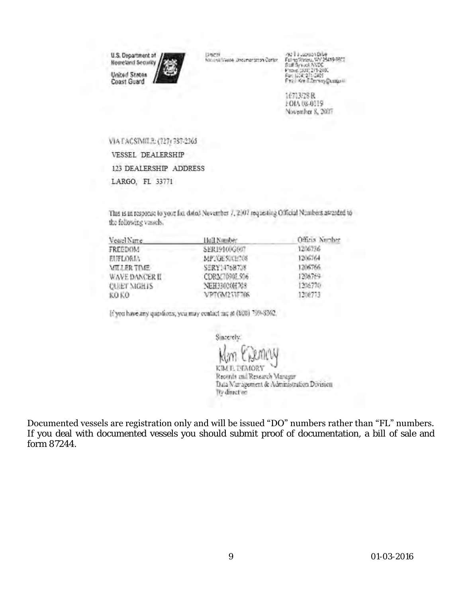U.S. Department of **Nometand Security United States**<br>Coast Guard



-92 1 2 Jacques Dille<br>Faling Woods, WY 25419-9922<br>Staff Syrucal AVDS<br>Faci (JDC 271-293)<br>Faci (JDC 271-2425<br>Faci Kar E.Domay@ustput)

16313/28 R FOIA 08-0119 November 8, 2021

VIA FACSIMILE: (727) 737-2365

**VESSEL DEALERSHIP** 

123 DEALERSHIP ADDRESS

LARGO, FL 33771

This is in response to your fax dated November 7, 2007 requesting Official Numbers awarded to the following vessels.

| Vessel Name        | Hall Namber  | Official Number |
|--------------------|--------------|-----------------|
| FREEDOM            | SER19100G07  | 1206736         |
| EUFLORIA           | MPRGESOCHTON | 1206764         |
| <b>MILLER TIME</b> | SERY1476B738 | 1206766         |
| WAVE DANCER II     | CDRX7090L506 | 1206769         |
| <b>CORET MORTS</b> | NEH33020H708 | 1206770         |
| KO KO              | VPTGM253F706 | 1206773         |

If you have any questions, you may contact me at (800) 799-8362.

Sincerely.

KIM E. DEMORY Recently and Research Manager Data Management & Administration Division We direct on

Documented vessels are registration only and will be issued "DO" numbers rather than "FL" numbers. If you deal with documented vessels you should submit proof of documentation, a bill of sale and form 87244.